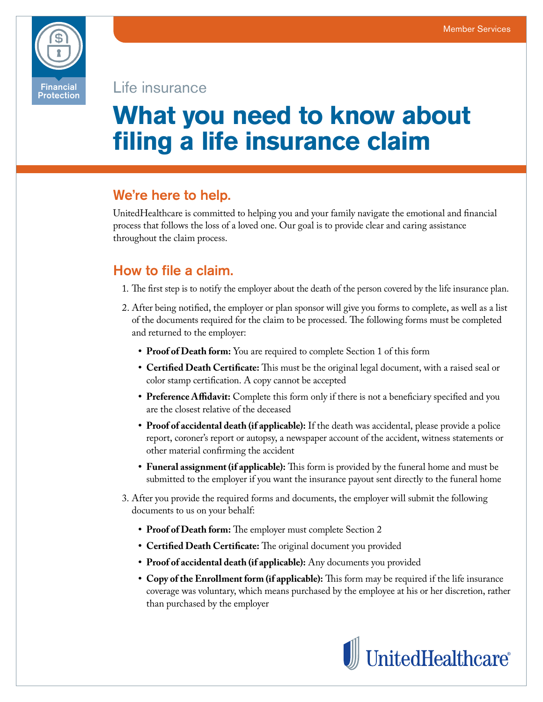

Life insurance

# **What you need to know about filing a life insurance claim**

## We're here to help.

UnitedHealthcare is committed to helping you and your family navigate the emotional and financial process that follows the loss of a loved one. Our goal is to provide clear and caring assistance throughout the claim process.

# How to file a claim.

- 1. The first step is to notify the employer about the death of the person covered by the life insurance plan.
- 2. After being notified, the employer or plan sponsor will give you forms to complete, as well as a list of the documents required for the claim to be processed. The following forms must be completed and returned to the employer:
	- **• Proof of Death form:** You are required to complete Section 1 of this form
	- **• Certified Death Certificate:** This must be the original legal document, with a raised seal or color stamp certification. A copy cannot be accepted
	- **• Preference Affidavit:** Complete this form only if there is not a beneficiary specified and you are the closest relative of the deceased
	- **• Proof of accidental death (if applicable):** If the death was accidental, please provide a police report, coroner's report or autopsy, a newspaper account of the accident, witness statements or other material confirming the accident
	- **• Funeral assignment (if applicable):** This form is provided by the funeral home and must be submitted to the employer if you want the insurance payout sent directly to the funeral home
- 3. After you provide the required forms and documents, the employer will submit the following documents to us on your behalf:
	- **• Proof of Death form:** The employer must complete Section 2
	- **• Certified Death Certificate:** The original document you provided
	- **• Proof of accidental death (if applicable):** Any documents you provided
	- **• Copy of the Enrollment form (if applicable):** This form may be required if the life insurance coverage was voluntary, which means purchased by the employee at his or her discretion, rather than purchased by the employer